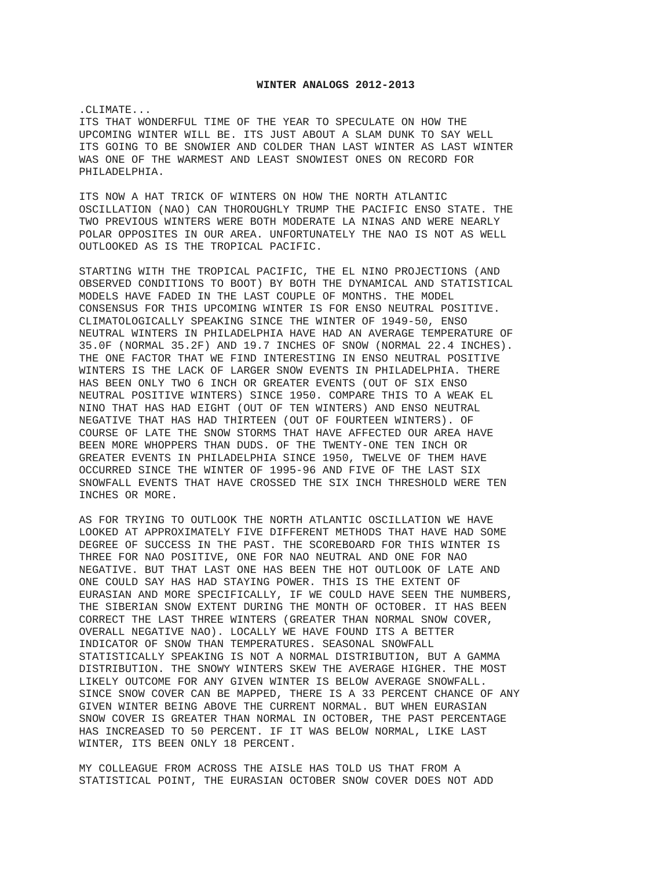## **WINTER ANALOGS 2012-2013**

.CLIMATE...

ITS THAT WONDERFUL TIME OF THE YEAR TO SPECULATE ON HOW THE UPCOMING WINTER WILL BE. ITS JUST ABOUT A SLAM DUNK TO SAY WELL ITS GOING TO BE SNOWIER AND COLDER THAN LAST WINTER AS LAST WINTER WAS ONE OF THE WARMEST AND LEAST SNOWIEST ONES ON RECORD FOR PHILADELPHIA.

ITS NOW A HAT TRICK OF WINTERS ON HOW THE NORTH ATLANTIC OSCILLATION (NAO) CAN THOROUGHLY TRUMP THE PACIFIC ENSO STATE. THE TWO PREVIOUS WINTERS WERE BOTH MODERATE LA NINAS AND WERE NEARLY POLAR OPPOSITES IN OUR AREA. UNFORTUNATELY THE NAO IS NOT AS WELL OUTLOOKED AS IS THE TROPICAL PACIFIC.

STARTING WITH THE TROPICAL PACIFIC, THE EL NINO PROJECTIONS (AND OBSERVED CONDITIONS TO BOOT) BY BOTH THE DYNAMICAL AND STATISTICAL MODELS HAVE FADED IN THE LAST COUPLE OF MONTHS. THE MODEL CONSENSUS FOR THIS UPCOMING WINTER IS FOR ENSO NEUTRAL POSITIVE. CLIMATOLOGICALLY SPEAKING SINCE THE WINTER OF 1949-50, ENSO NEUTRAL WINTERS IN PHILADELPHIA HAVE HAD AN AVERAGE TEMPERATURE OF 35.0F (NORMAL 35.2F) AND 19.7 INCHES OF SNOW (NORMAL 22.4 INCHES). THE ONE FACTOR THAT WE FIND INTERESTING IN ENSO NEUTRAL POSITIVE WINTERS IS THE LACK OF LARGER SNOW EVENTS IN PHILADELPHIA. THERE HAS BEEN ONLY TWO 6 INCH OR GREATER EVENTS (OUT OF SIX ENSO NEUTRAL POSITIVE WINTERS) SINCE 1950. COMPARE THIS TO A WEAK EL NINO THAT HAS HAD EIGHT (OUT OF TEN WINTERS) AND ENSO NEUTRAL NEGATIVE THAT HAS HAD THIRTEEN (OUT OF FOURTEEN WINTERS). OF COURSE OF LATE THE SNOW STORMS THAT HAVE AFFECTED OUR AREA HAVE BEEN MORE WHOPPERS THAN DUDS. OF THE TWENTY-ONE TEN INCH OR GREATER EVENTS IN PHILADELPHIA SINCE 1950, TWELVE OF THEM HAVE OCCURRED SINCE THE WINTER OF 1995-96 AND FIVE OF THE LAST SIX SNOWFALL EVENTS THAT HAVE CROSSED THE SIX INCH THRESHOLD WERE TEN INCHES OR MORE.

AS FOR TRYING TO OUTLOOK THE NORTH ATLANTIC OSCILLATION WE HAVE LOOKED AT APPROXIMATELY FIVE DIFFERENT METHODS THAT HAVE HAD SOME DEGREE OF SUCCESS IN THE PAST. THE SCOREBOARD FOR THIS WINTER IS THREE FOR NAO POSITIVE, ONE FOR NAO NEUTRAL AND ONE FOR NAO NEGATIVE. BUT THAT LAST ONE HAS BEEN THE HOT OUTLOOK OF LATE AND ONE COULD SAY HAS HAD STAYING POWER. THIS IS THE EXTENT OF EURASIAN AND MORE SPECIFICALLY, IF WE COULD HAVE SEEN THE NUMBERS, THE SIBERIAN SNOW EXTENT DURING THE MONTH OF OCTOBER. IT HAS BEEN CORRECT THE LAST THREE WINTERS (GREATER THAN NORMAL SNOW COVER, OVERALL NEGATIVE NAO). LOCALLY WE HAVE FOUND ITS A BETTER INDICATOR OF SNOW THAN TEMPERATURES. SEASONAL SNOWFALL STATISTICALLY SPEAKING IS NOT A NORMAL DISTRIBUTION, BUT A GAMMA DISTRIBUTION. THE SNOWY WINTERS SKEW THE AVERAGE HIGHER. THE MOST LIKELY OUTCOME FOR ANY GIVEN WINTER IS BELOW AVERAGE SNOWFALL. SINCE SNOW COVER CAN BE MAPPED, THERE IS A 33 PERCENT CHANCE OF ANY GIVEN WINTER BEING ABOVE THE CURRENT NORMAL. BUT WHEN EURASIAN SNOW COVER IS GREATER THAN NORMAL IN OCTOBER, THE PAST PERCENTAGE HAS INCREASED TO 50 PERCENT. IF IT WAS BELOW NORMAL, LIKE LAST WINTER, ITS BEEN ONLY 18 PERCENT.

MY COLLEAGUE FROM ACROSS THE AISLE HAS TOLD US THAT FROM A STATISTICAL POINT, THE EURASIAN OCTOBER SNOW COVER DOES NOT ADD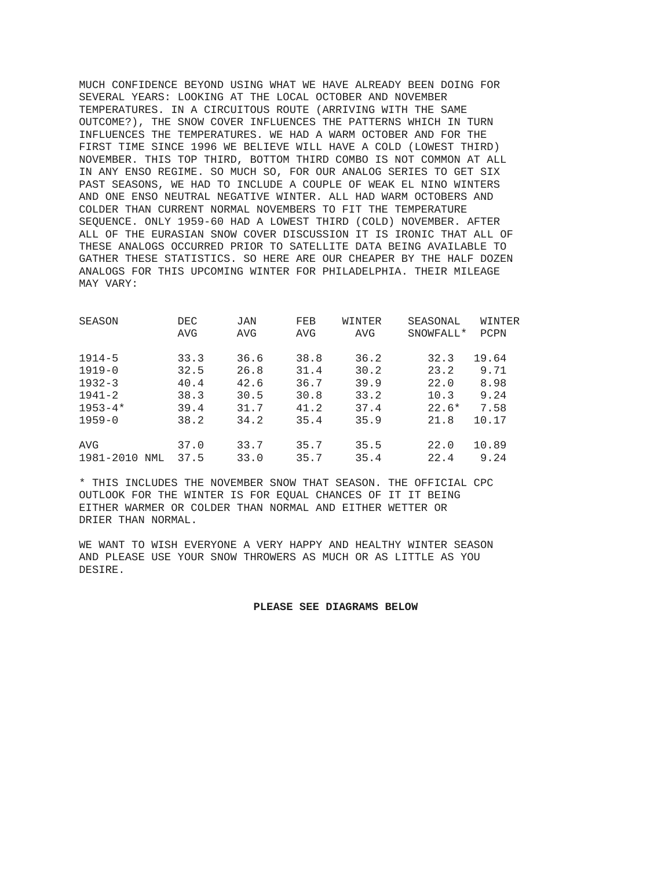MUCH CONFIDENCE BEYOND USING WHAT WE HAVE ALREADY BEEN DOING FOR SEVERAL YEARS: LOOKING AT THE LOCAL OCTOBER AND NOVEMBER TEMPERATURES. IN A CIRCUITOUS ROUTE (ARRIVING WITH THE SAME OUTCOME?), THE SNOW COVER INFLUENCES THE PATTERNS WHICH IN TURN INFLUENCES THE TEMPERATURES. WE HAD A WARM OCTOBER AND FOR THE FIRST TIME SINCE 1996 WE BELIEVE WILL HAVE A COLD (LOWEST THIRD) NOVEMBER. THIS TOP THIRD, BOTTOM THIRD COMBO IS NOT COMMON AT ALL IN ANY ENSO REGIME. SO MUCH SO, FOR OUR ANALOG SERIES TO GET SIX PAST SEASONS, WE HAD TO INCLUDE A COUPLE OF WEAK EL NINO WINTERS AND ONE ENSO NEUTRAL NEGATIVE WINTER. ALL HAD WARM OCTOBERS AND COLDER THAN CURRENT NORMAL NOVEMBERS TO FIT THE TEMPERATURE SEQUENCE. ONLY 1959-60 HAD A LOWEST THIRD (COLD) NOVEMBER. AFTER ALL OF THE EURASIAN SNOW COVER DISCUSSION IT IS IRONIC THAT ALL OF THESE ANALOGS OCCURRED PRIOR TO SATELLITE DATA BEING AVAILABLE TO GATHER THESE STATISTICS. SO HERE ARE OUR CHEAPER BY THE HALF DOZEN ANALOGS FOR THIS UPCOMING WINTER FOR PHILADELPHIA. THEIR MILEAGE MAY VARY:

| SEASON      |     | DEC  | <b>JAN</b> | FEB  | WINTER     | SEASONAL              | WINTER |
|-------------|-----|------|------------|------|------------|-----------------------|--------|
|             |     | AVG  | AVG        | AVG  | <b>AVG</b> | SNOWFALL <sup>*</sup> | PCPN   |
| $1914 - 5$  |     | 33.3 | 36.6       | 38.8 | 36.2       | 32.3                  | 19.64  |
| $1919 - 0$  |     | 32.5 | 26.8       | 31.4 | 30.2       | 23.2                  | 9.71   |
| $1932 - 3$  |     | 40.4 | 42.6       | 36.7 | 39.9       | 22.0                  | 8.98   |
| $1941 - 2$  |     | 38.3 | 30.5       | 30.8 | 33.2       | 10.3                  | 9.24   |
| $1953 - 4*$ |     | 39.4 | 31.7       | 41.2 | 37.4       | $22.6*$               | 7.58   |
| $1959 - 0$  |     | 38.2 | 34.2       | 35.4 | 35.9       | 21.8                  | 10.17  |
| AVG         |     | 37.0 | 33.7       | 35.7 | 35.5       | 22.0                  | 10.89  |
| 1981-2010   | NML | 37.5 | 33.0       | 35.7 | 35.4       | 22.4                  | 9.24   |

\* THIS INCLUDES THE NOVEMBER SNOW THAT SEASON. THE OFFICIAL CPC OUTLOOK FOR THE WINTER IS FOR EQUAL CHANCES OF IT IT BEING EITHER WARMER OR COLDER THAN NORMAL AND EITHER WETTER OR DRIER THAN NORMAL.

WE WANT TO WISH EVERYONE A VERY HAPPY AND HEALTHY WINTER SEASON AND PLEASE USE YOUR SNOW THROWERS AS MUCH OR AS LITTLE AS YOU DESIRE.

## **PLEASE SEE DIAGRAMS BELOW**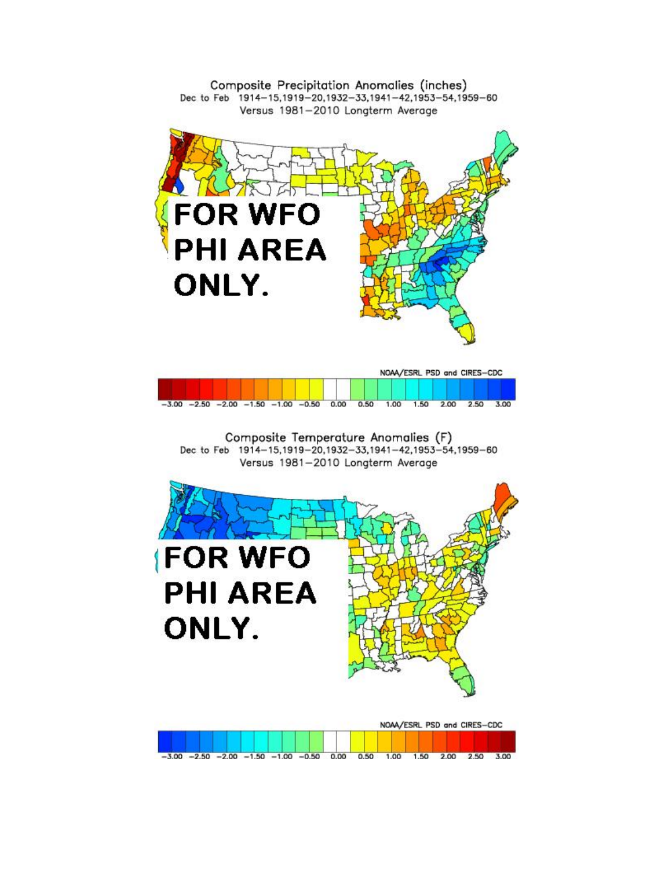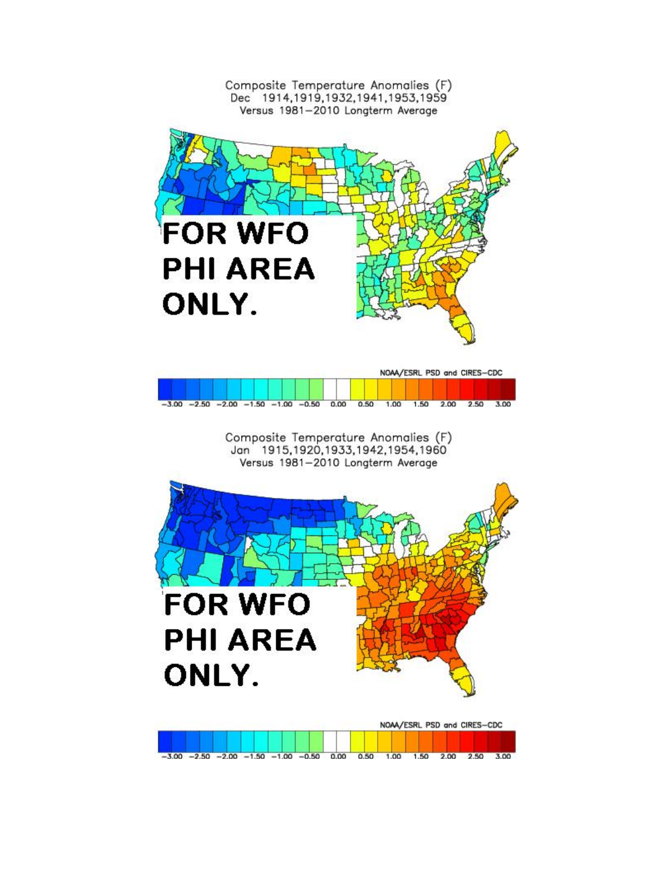